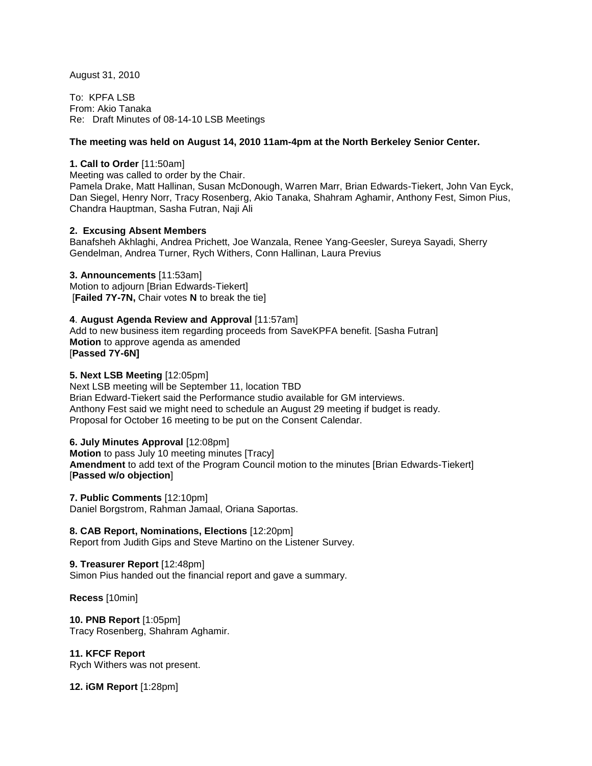August 31, 2010

To: KPFA LSB From: Akio Tanaka Re: Draft Minutes of 08-14-10 LSB Meetings

## **The meeting was held on August 14, 2010 11am-4pm at the North Berkeley Senior Center.**

## **1. Call to Order** [11:50am]

Meeting was called to order by the Chair.

Pamela Drake, Matt Hallinan, Susan McDonough, Warren Marr, Brian Edwards-Tiekert, John Van Eyck, Dan Siegel, Henry Norr, Tracy Rosenberg, Akio Tanaka, Shahram Aghamir, Anthony Fest, Simon Pius, Chandra Hauptman, Sasha Futran, Naji Ali

# **2. Excusing Absent Members**

Banafsheh Akhlaghi, Andrea Prichett, Joe Wanzala, Renee Yang-Geesler, Sureya Sayadi, Sherry Gendelman, Andrea Turner, Rych Withers, Conn Hallinan, Laura Previus

**3. Announcements** [11:53am] Motion to adjourn [Brian Edwards-Tiekert] [**Failed 7Y-7N,** Chair votes **N** to break the tie]

**4**. **August Agenda Review and Approval** [11:57am] Add to new business item regarding proceeds from SaveKPFA benefit. [Sasha Futran] **Motion** to approve agenda as amended [**Passed 7Y-6N]**

#### **5. Next LSB Meeting** [12:05pm]

Next LSB meeting will be September 11, location TBD Brian Edward-Tiekert said the Performance studio available for GM interviews. Anthony Fest said we might need to schedule an August 29 meeting if budget is ready. Proposal for October 16 meeting to be put on the Consent Calendar.

#### **6. July Minutes Approval** [12:08pm]

**Motion** to pass July 10 meeting minutes [Tracy] **Amendment** to add text of the Program Council motion to the minutes [Brian Edwards-Tiekert] [**Passed w/o objection**]

**7. Public Comments** [12:10pm] Daniel Borgstrom, Rahman Jamaal, Oriana Saportas.

#### **8. CAB Report, Nominations, Elections** [12:20pm]

Report from Judith Gips and Steve Martino on the Listener Survey.

**9. Treasurer Report** [12:48pm] Simon Pius handed out the financial report and gave a summary.

**Recess** [10min]

**10. PNB Report** [1:05pm] Tracy Rosenberg, Shahram Aghamir.

# **11. KFCF Report**

Rych Withers was not present.

**12. iGM Report** [1:28pm]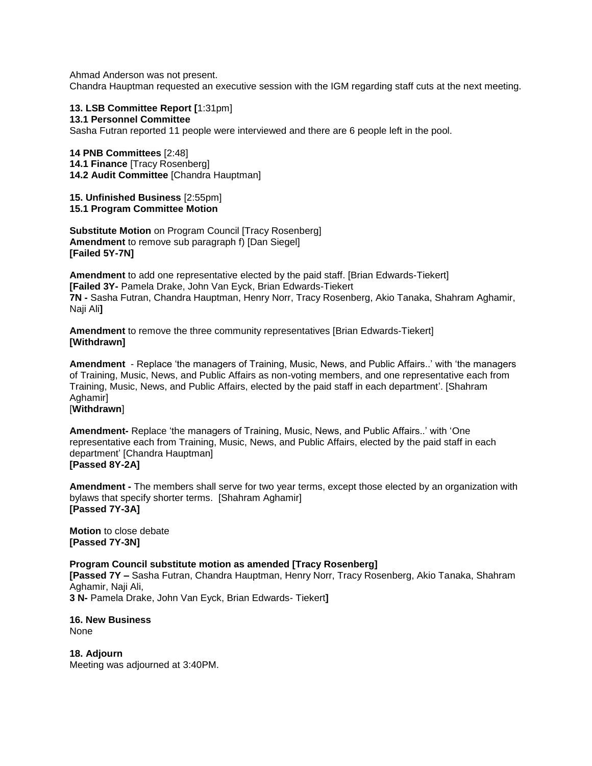Ahmad Anderson was not present. Chandra Hauptman requested an executive session with the IGM regarding staff cuts at the next meeting.

**13. LSB Committee Report [**1:31pm] **13.1 Personnel Committee** Sasha Futran reported 11 people were interviewed and there are 6 people left in the pool.

**14 PNB Committees** [2:48] **14.1 Finance** [Tracy Rosenberg] **14.2 Audit Committee** [Chandra Hauptman]

**15. Unfinished Business** [2:55pm] **15.1 Program Committee Motion**

**Substitute Motion** on Program Council [Tracy Rosenberg] **Amendment** to remove sub paragraph f) [Dan Siegel] **[Failed 5Y-7N]**

**Amendment** to add one representative elected by the paid staff. [Brian Edwards-Tiekert] **[Failed 3Y-** Pamela Drake, John Van Eyck, Brian Edwards-Tiekert **7N -** Sasha Futran, Chandra Hauptman, Henry Norr, Tracy Rosenberg, Akio Tanaka, Shahram Aghamir, Naji Ali**]**

**Amendment** to remove the three community representatives [Brian Edwards-Tiekert] **[Withdrawn]**

**Amendment** - Replace 'the managers of Training, Music, News, and Public Affairs..' with 'the managers of Training, Music, News, and Public Affairs as non-voting members, and one representative each from Training, Music, News, and Public Affairs, elected by the paid staff in each department'. [Shahram Aghamir]

[**Withdrawn**]

**Amendment-** Replace 'the managers of Training, Music, News, and Public Affairs..' with 'One representative each from Training, Music, News, and Public Affairs, elected by the paid staff in each department' [Chandra Hauptman] **[Passed 8Y-2A]**

**Amendment -** The members shall serve for two year terms, except those elected by an organization with bylaws that specify shorter terms. [Shahram Aghamir] **[Passed 7Y-3A]**

**Motion** to close debate **[Passed 7Y-3N]**

**Program Council substitute motion as amended [Tracy Rosenberg]**

**[Passed 7Y –** Sasha Futran, Chandra Hauptman, Henry Norr, Tracy Rosenberg, Akio Tanaka, Shahram Aghamir, Naji Ali,

**3 N-** Pamela Drake, John Van Eyck, Brian Edwards- Tiekert**]**

**16. New Business** None

**18. Adjourn** Meeting was adjourned at 3:40PM.